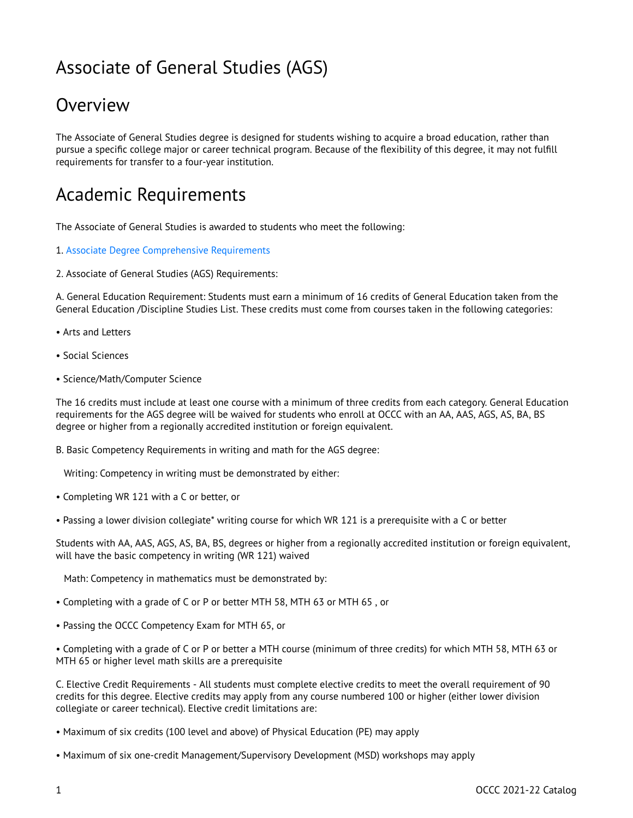# Associate of General Studies (AGS)

## **Overview**

The Associate of General Studies degree is designed for students wishing to acquire a broad education, rather than pursue a specific college major or career technical program. Because of the flexibility of this degree, it may not fulfill requirements for transfer to a four-year institution.

### Academic Requirements

The Associate of General Studies is awarded to students who meet the following:

- 1. [Associate Degree Comprehensive Requirements](http://catalog.oregoncoastcc.org/associate-degree-comprehensive-requirements-0)
- 2. Associate of General Studies (AGS) Requirements:

A. General Education Requirement: Students must earn a minimum of 16 credits of General Education taken from the General Education /Discipline Studies List. These credits must come from courses taken in the following categories:

- Arts and Letters
- Social Sciences
- Science/Math/Computer Science

The 16 credits must include at least one course with a minimum of three credits from each category. General Education requirements for the AGS degree will be waived for students who enroll at OCCC with an AA, AAS, AGS, AS, BA, BS degree or higher from a regionally accredited institution or foreign equivalent.

B. Basic Competency Requirements in writing and math for the AGS degree:

Writing: Competency in writing must be demonstrated by either:

- Completing WR 121 with a C or better, or
- Passing a lower division collegiate\* writing course for which WR 121 is a prerequisite with a C or better

Students with AA, AAS, AGS, AS, BA, BS, degrees or higher from a regionally accredited institution or foreign equivalent, will have the basic competency in writing (WR 121) waived

Math: Competency in mathematics must be demonstrated by:

- Completing with a grade of C or P or better MTH 58, MTH 63 or MTH 65 , or
- Passing the OCCC Competency Exam for MTH 65, or
- Completing with a grade of C or P or better a MTH course (minimum of three credits) for which MTH 58, MTH 63 or MTH 65 or higher level math skills are a prerequisite

C. Elective Credit Requirements - All students must complete elective credits to meet the overall requirement of 90 credits for this degree. Elective credits may apply from any course numbered 100 or higher (either lower division collegiate or career technical). Elective credit limitations are:

- Maximum of six credits (100 level and above) of Physical Education (PE) may apply
- Maximum of six one-credit Management/Supervisory Development (MSD) workshops may apply